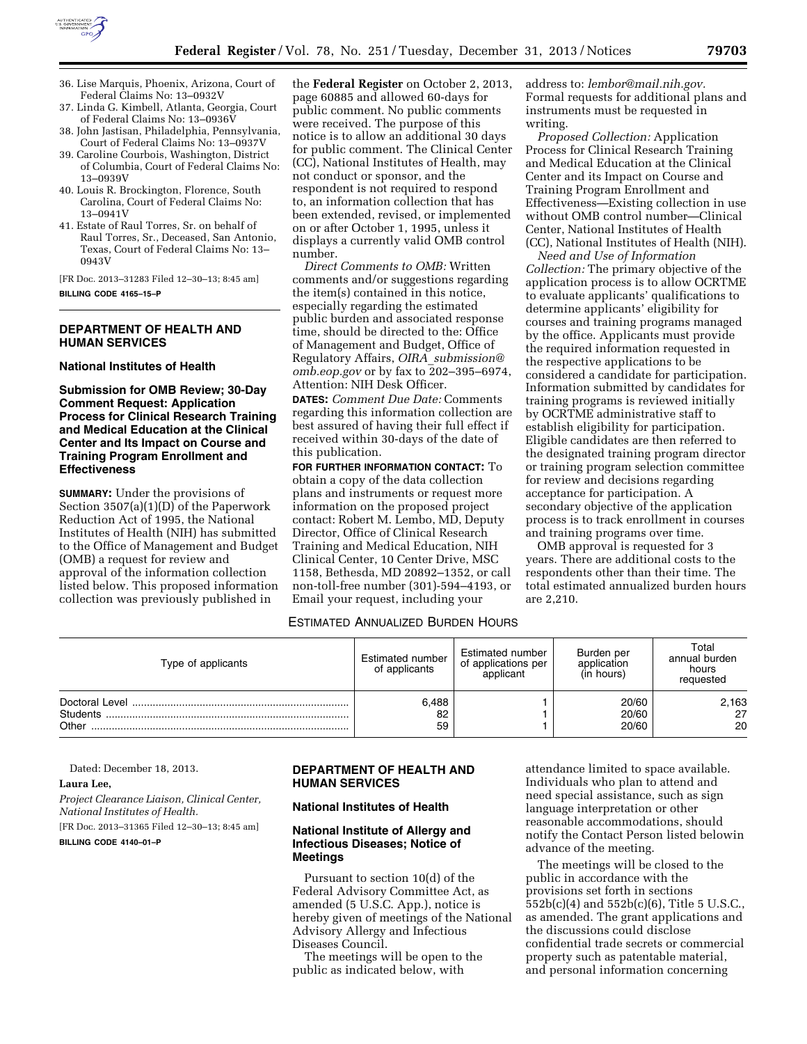

- 36. Lise Marquis, Phoenix, Arizona, Court of Federal Claims No: 13–0932V
- 37. Linda G. Kimbell, Atlanta, Georgia, Court of Federal Claims No: 13–0936V
- 38. John Jastisan, Philadelphia, Pennsylvania, Court of Federal Claims No: 13–0937V
- 39. Caroline Courbois, Washington, District of Columbia, Court of Federal Claims No: 13–0939V
- 40. Louis R. Brockington, Florence, South Carolina, Court of Federal Claims No: 13–0941V
- 41. Estate of Raul Torres, Sr. on behalf of Raul Torres, Sr., Deceased, San Antonio, Texas, Court of Federal Claims No: 13– 0943V

[FR Doc. 2013–31283 Filed 12–30–13; 8:45 am]

#### **BILLING CODE 4165–15–P**

### **DEPARTMENT OF HEALTH AND HUMAN SERVICES**

**National Institutes of Health** 

**Submission for OMB Review; 30-Day Comment Request: Application Process for Clinical Research Training and Medical Education at the Clinical Center and Its Impact on Course and Training Program Enrollment and Effectiveness** 

**SUMMARY:** Under the provisions of Section 3507(a)(1)(D) of the Paperwork Reduction Act of 1995, the National Institutes of Health (NIH) has submitted to the Office of Management and Budget (OMB) a request for review and approval of the information collection listed below. This proposed information collection was previously published in

the **Federal Register** on October 2, 2013, page 60885 and allowed 60-days for public comment. No public comments were received. The purpose of this notice is to allow an additional 30 days for public comment. The Clinical Center (CC), National Institutes of Health, may not conduct or sponsor, and the respondent is not required to respond to, an information collection that has been extended, revised, or implemented on or after October 1, 1995, unless it displays a currently valid OMB control number.

*Direct Comments to OMB:* Written comments and/or suggestions regarding the item(s) contained in this notice, especially regarding the estimated public burden and associated response time, should be directed to the: Office of Management and Budget, Office of Regulatory Affairs, *OIRA*\_*[submission@](mailto:OIRA_submission@omb.eop.gov) [omb.eop.gov](mailto:OIRA_submission@omb.eop.gov)* or by fax to 202–395–6974, Attention: NIH Desk Officer.

**DATES:** *Comment Due Date:* Comments regarding this information collection are best assured of having their full effect if received within 30-days of the date of this publication.

**FOR FURTHER INFORMATION CONTACT:** To obtain a copy of the data collection plans and instruments or request more information on the proposed project contact: Robert M. Lembo, MD, Deputy Director, Office of Clinical Research Training and Medical Education, NIH Clinical Center, 10 Center Drive, MSC 1158, Bethesda, MD 20892–1352, or call non-toll-free number (301)-594–4193, or Email your request, including your

address to: *[lembor@mail.nih.gov.](mailto:lembor@mail.nih.gov)*  Formal requests for additional plans and instruments must be requested in writing.

*Proposed Collection:* Application Process for Clinical Research Training and Medical Education at the Clinical Center and its Impact on Course and Training Program Enrollment and Effectiveness—Existing collection in use without OMB control number—Clinical Center, National Institutes of Health (CC), National Institutes of Health (NIH).

*Need and Use of Information Collection:* The primary objective of the application process is to allow OCRTME to evaluate applicants' qualifications to determine applicants' eligibility for courses and training programs managed by the office. Applicants must provide the required information requested in the respective applications to be considered a candidate for participation. Information submitted by candidates for training programs is reviewed initially by OCRTME administrative staff to establish eligibility for participation. Eligible candidates are then referred to the designated training program director or training program selection committee for review and decisions regarding acceptance for participation. A secondary objective of the application process is to track enrollment in courses and training programs over time.

OMB approval is requested for 3 years. There are additional costs to the respondents other than their time. The total estimated annualized burden hours are 2,210.

### ESTIMATED ANNUALIZED BURDEN HOURS

| Type of applicants | Estimated number<br>of applicants | Estimated number<br>of applications per<br>applicant | Burden per<br>application<br>(in hours) | Total<br>annual burden<br>hours<br>requested |
|--------------------|-----------------------------------|------------------------------------------------------|-----------------------------------------|----------------------------------------------|
| Students<br>Other  | 6,488<br>82<br>59                 |                                                      | 20/60<br>20/60<br>20/60                 | 2,163<br>27<br>20                            |

Dated: December 18, 2013.

### **Laura Lee,**

*Project Clearance Liaison, Clinical Center, National Institutes of Health.*  [FR Doc. 2013–31365 Filed 12–30–13; 8:45 am] **BILLING CODE 4140–01–P** 

# **DEPARTMENT OF HEALTH AND HUMAN SERVICES**

### **National Institutes of Health**

### **National Institute of Allergy and Infectious Diseases; Notice of Meetings**

Pursuant to section 10(d) of the Federal Advisory Committee Act, as amended (5 U.S.C. App.), notice is hereby given of meetings of the National Advisory Allergy and Infectious Diseases Council.

The meetings will be open to the public as indicated below, with

attendance limited to space available. Individuals who plan to attend and need special assistance, such as sign language interpretation or other reasonable accommodations, should notify the Contact Person listed belowin advance of the meeting.

The meetings will be closed to the public in accordance with the provisions set forth in sections 552b(c)(4) and 552b(c)(6), Title 5 U.S.C., as amended. The grant applications and the discussions could disclose confidential trade secrets or commercial property such as patentable material, and personal information concerning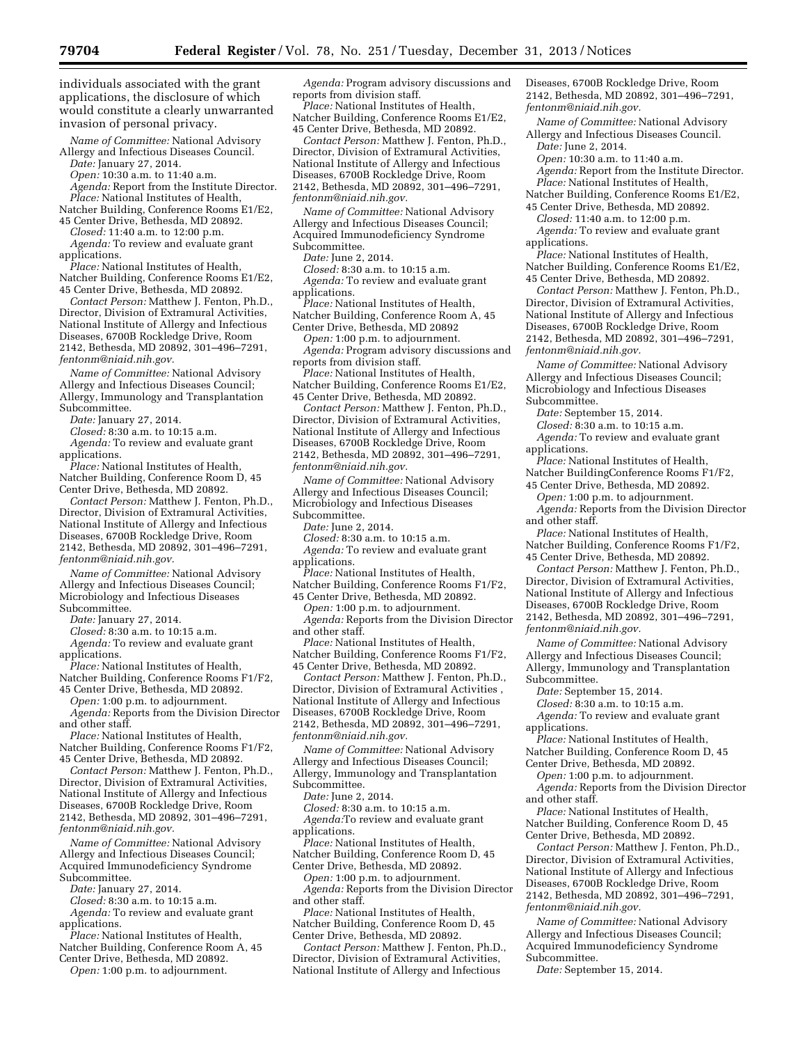individuals associated with the grant applications, the disclosure of which would constitute a clearly unwarranted invasion of personal privacy.

*Name of Committee:* National Advisory Allergy and Infectious Diseases Council.

*Date:* January 27, 2014. *Open:* 10:30 a.m. to 11:40 a.m.

*Agenda:* Report from the Institute Director.

*Place:* National Institutes of Health, Natcher Building, Conference Rooms E1/E2,

45 Center Drive, Bethesda, MD 20892. *Closed:* 11:40 a.m. to 12:00 p.m.

*Agenda:* To review and evaluate grant applications.

*Place:* National Institutes of Health, Natcher Building, Conference Rooms E1/E2, 45 Center Drive, Bethesda, MD 20892.

*Contact Person:* Matthew J. Fenton, Ph.D., Director, Division of Extramural Activities, National Institute of Allergy and Infectious Diseases, 6700B Rockledge Drive, Room 2142, Bethesda, MD 20892, 301–496–7291, *[fentonm@niaid.nih.gov.](mailto:fentonm@niaid.nih.gov)* 

*Name of Committee:* National Advisory Allergy and Infectious Diseases Council; Allergy, Immunology and Transplantation Subcommittee.

*Date:* January 27, 2014.

*Closed:* 8:30 a.m. to 10:15 a.m. *Agenda:* To review and evaluate grant applications.

*Place:* National Institutes of Health, Natcher Building, Conference Room D, 45 Center Drive, Bethesda, MD 20892.

*Contact Person:* Matthew J. Fenton, Ph.D., Director, Division of Extramural Activities, National Institute of Allergy and Infectious Diseases, 6700B Rockledge Drive, Room 2142, Bethesda, MD 20892, 301–496–7291, *[fentonm@niaid.nih.gov.](mailto:fentonm@niaid.nih.gov)* 

*Name of Committee:* National Advisory Allergy and Infectious Diseases Council; Microbiology and Infectious Diseases Subcommittee.

*Date:* January 27, 2014.

*Closed:* 8:30 a.m. to 10:15 a.m.

*Agenda:* To review and evaluate grant applications.

*Place:* National Institutes of Health,

Natcher Building, Conference Rooms F1/F2, 45 Center Drive, Bethesda, MD 20892.

*Open:* 1:00 p.m. to adjournment.

*Agenda:* Reports from the Division Director and other staff.

*Place:* National Institutes of Health, Natcher Building, Conference Rooms F1/F2, 45 Center Drive, Bethesda, MD 20892.

*Contact Person:* Matthew J. Fenton, Ph.D., Director, Division of Extramural Activities,

National Institute of Allergy and Infectious

Diseases, 6700B Rockledge Drive, Room 2142, Bethesda, MD 20892, 301–496–7291,

*[fentonm@niaid.nih.gov.](mailto:fentonm@niaid.nih.gov)* 

*Name of Committee:* National Advisory Allergy and Infectious Diseases Council; Acquired Immunodeficiency Syndrome Subcommittee.

*Date:* January 27, 2014.

*Closed:* 8:30 a.m. to 10:15 a.m.

*Agenda:* To review and evaluate grant applications.

*Place:* National Institutes of Health, Natcher Building, Conference Room A, 45

Center Drive, Bethesda, MD 20892. *Open:* 1:00 p.m. to adjournment.

*Agenda:* Program advisory discussions and reports from division staff.

*Place:* National Institutes of Health, Natcher Building, Conference Rooms E1/E2, 45 Center Drive, Bethesda, MD 20892.

*Contact Person:* Matthew J. Fenton, Ph.D., Director, Division of Extramural Activities, National Institute of Allergy and Infectious Diseases, 6700B Rockledge Drive, Room 2142, Bethesda, MD 20892, 301–496–7291, *[fentonm@niaid.nih.gov.](mailto:fentonm@niaid.nih.gov)* 

*Name of Committee:* National Advisory Allergy and Infectious Diseases Council; Acquired Immunodeficiency Syndrome Subcommittee.

*Date:* June 2, 2014.

*Closed:* 8:30 a.m. to 10:15 a.m. *Agenda:* To review and evaluate grant applications.

*Place:* National Institutes of Health, Natcher Building, Conference Room A, 45 Center Drive, Bethesda, MD 20892

*Open:* 1:00 p.m. to adjournment. *Agenda:* Program advisory discussions and reports from division staff.

*Place:* National Institutes of Health, Natcher Building, Conference Rooms E1/E2, 45 Center Drive, Bethesda, MD 20892.

*Contact Person:* Matthew J. Fenton, Ph.D., Director, Division of Extramural Activities, National Institute of Allergy and Infectious Diseases, 6700B Rockledge Drive, Room 2142, Bethesda, MD 20892, 301–496–7291, *[fentonm@niaid.nih.gov.](mailto:fentonm@niaid.nih.gov)* 

*Name of Committee:* National Advisory Allergy and Infectious Diseases Council; Microbiology and Infectious Diseases Subcommittee.

*Date:* June 2, 2014.

*Closed:* 8:30 a.m. to 10:15 a.m.

*Agenda:* To review and evaluate grant applications.

*Place:* National Institutes of Health, Natcher Building, Conference Rooms F1/F2,

45 Center Drive, Bethesda, MD 20892. *Open:* 1:00 p.m. to adjournment.

*Agenda:* Reports from the Division Director and other staff.

*Place:* National Institutes of Health, Natcher Building, Conference Rooms F1/F2, 45 Center Drive, Bethesda, MD 20892.

*Contact Person:* Matthew J. Fenton, Ph.D., Director, Division of Extramural Activities , National Institute of Allergy and Infectious Diseases, 6700B Rockledge Drive, Room 2142, Bethesda, MD 20892, 301–496–7291, *[fentonm@niaid.nih.gov.](mailto:fentonm@niaid.nih.gov)* 

*Name of Committee:* National Advisory Allergy and Infectious Diseases Council; Allergy, Immunology and Transplantation Subcommittee.

*Date:* June 2, 2014.

*Closed:* 8:30 a.m. to 10:15 a.m. *Agenda:*To review and evaluate grant applications.

*Place:* National Institutes of Health, Natcher Building, Conference Room D, 45

Center Drive, Bethesda, MD 20892.

*Open:* 1:00 p.m. to adjournment. *Agenda:* Reports from the Division Director and other staff.

*Place:* National Institutes of Health, Natcher Building, Conference Room D, 45 Center Drive, Bethesda, MD 20892.

*Contact Person:* Matthew J. Fenton, Ph.D., Director, Division of Extramural Activities, National Institute of Allergy and Infectious

Diseases, 6700B Rockledge Drive, Room 2142, Bethesda, MD 20892, 301–496–7291, *[fentonm@niaid.nih.gov.](mailto:fentonm@niaid.nih.gov)* 

*Name of Committee:* National Advisory Allergy and Infectious Diseases Council. *Date:* June 2, 2014.

*Open:* 10:30 a.m. to 11:40 a.m.

*Agenda:* Report from the Institute Director. *Place:* National Institutes of Health,

Natcher Building, Conference Rooms E1/E2, 45 Center Drive, Bethesda, MD 20892.

*Closed:* 11:40 a.m. to 12:00 p.m.

*Agenda:* To review and evaluate grant applications.

*Place:* National Institutes of Health, Natcher Building, Conference Rooms E1/E2, 45 Center Drive, Bethesda, MD 20892.

*Contact Person:* Matthew J. Fenton, Ph.D., Director, Division of Extramural Activities, National Institute of Allergy and Infectious Diseases, 6700B Rockledge Drive, Room 2142, Bethesda, MD 20892, 301–496–7291, *[fentonm@niaid.nih.gov.](mailto:fentonm@niaid.nih.gov)* 

*Name of Committee:* National Advisory Allergy and Infectious Diseases Council; Microbiology and Infectious Diseases Subcommittee.

*Date:* September 15, 2014.

*Closed:* 8:30 a.m. to 10:15 a.m.

*Agenda:* To review and evaluate grant applications.

*Place:* National Institutes of Health, Natcher BuildingConference Rooms F1/F2,

45 Center Drive, Bethesda, MD 20892. *Open:* 1:00 p.m. to adjournment.

*Agenda:* Reports from the Division Director and other staff.

*Place:* National Institutes of Health, Natcher Building, Conference Rooms F1/F2, 45 Center Drive, Bethesda, MD 20892.

*Contact Person:* Matthew J. Fenton, Ph.D., Director, Division of Extramural Activities, National Institute of Allergy and Infectious Diseases, 6700B Rockledge Drive, Room 2142, Bethesda, MD 20892, 301–496–7291, *[fentonm@niaid.nih.gov.](mailto:fentonm@niaid.nih.gov)* 

*Name of Committee:* National Advisory Allergy and Infectious Diseases Council; Allergy, Immunology and Transplantation Subcommittee.

*Date:* September 15, 2014.

*Closed:* 8:30 a.m. to 10:15 a.m.

*Agenda:* To review and evaluate grant applications.

*Place:* National Institutes of Health, Natcher Building, Conference Room D, 45 Center Drive, Bethesda, MD 20892.

*Open:* 1:00 p.m. to adjournment.

*Agenda:* Reports from the Division Director and other staff.

*Place:* National Institutes of Health, Natcher Building, Conference Room D, 45 Center Drive, Bethesda, MD 20892.

*Contact Person:* Matthew J. Fenton, Ph.D., Director, Division of Extramural Activities, National Institute of Allergy and Infectious Diseases, 6700B Rockledge Drive, Room 2142, Bethesda, MD 20892, 301–496–7291, *[fentonm@niaid.nih.gov.](mailto:fentonm@niaid.nih.gov)* 

*Name of Committee:* National Advisory Allergy and Infectious Diseases Council; Acquired Immunodeficiency Syndrome Subcommittee.

*Date:* September 15, 2014.